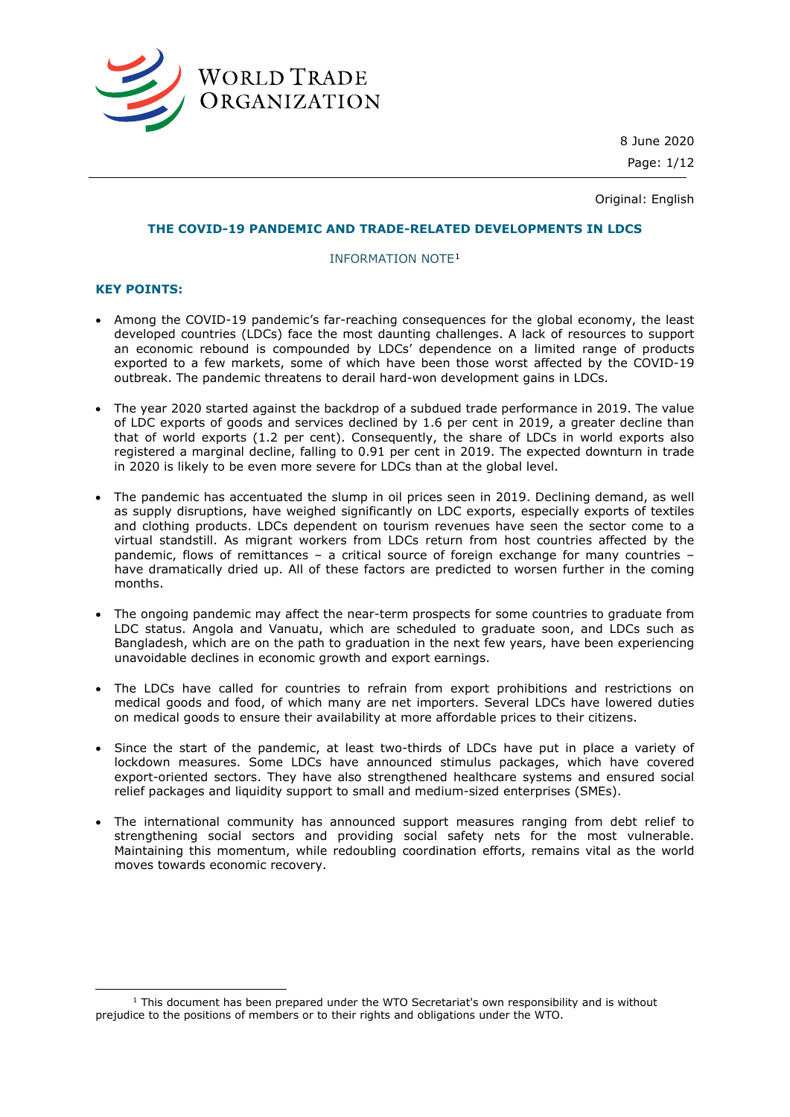

8 June 2020 Page: 1/12

Original: English

## **THE COVID-19 PANDEMIC AND TRADE-RELATED DEVELOPMENTS IN LDCS**

#### INFORMATION NOTE[1](#page-0-0)

#### **KEY POINTS:**

- Among the COVID-19 pandemic's far-reaching consequences for the global economy, the least developed countries (LDCs) face the most daunting challenges. A lack of resources to support an economic rebound is compounded by LDCs' dependence on a limited range of products exported to a few markets, some of which have been those worst affected by the COVID-19 outbreak. The pandemic threatens to derail hard-won development gains in LDCs.
- The year 2020 started against the backdrop of a subdued trade performance in 2019. The value of LDC exports of goods and services declined by 1.6 per cent in 2019, a greater decline than that of world exports (1.2 per cent). Consequently, the share of LDCs in world exports also registered a marginal decline, falling to 0.91 per cent in 2019. The expected downturn in trade in 2020 is likely to be even more severe for LDCs than at the global level.
- The pandemic has accentuated the slump in oil prices seen in 2019. Declining demand, as well as supply disruptions, have weighed significantly on LDC exports, especially exports of textiles and clothing products. LDCs dependent on tourism revenues have seen the sector come to a virtual standstill. As migrant workers from LDCs return from host countries affected by the pandemic, flows of remittances – a critical source of foreign exchange for many countries – have dramatically dried up. All of these factors are predicted to worsen further in the coming months.
- The ongoing pandemic may affect the near-term prospects for some countries to graduate from LDC status. Angola and Vanuatu, which are scheduled to graduate soon, and LDCs such as Bangladesh, which are on the path to graduation in the next few years, have been experiencing unavoidable declines in economic growth and export earnings.
- The LDCs have called for countries to refrain from export prohibitions and restrictions on medical goods and food, of which many are net importers. Several LDCs have lowered duties on medical goods to ensure their availability at more affordable prices to their citizens.
- Since the start of the pandemic, at least two-thirds of LDCs have put in place a variety of lockdown measures. Some LDCs have announced stimulus packages, which have covered export-oriented sectors. They have also strengthened healthcare systems and ensured social relief packages and liquidity support to small and medium-sized enterprises (SMEs).
- The international community has announced support measures ranging from debt relief to strengthening social sectors and providing social safety nets for the most vulnerable. Maintaining this momentum, while redoubling coordination efforts, remains vital as the world moves towards economic recovery.

<span id="page-0-0"></span> $1$  This document has been prepared under the WTO Secretariat's own responsibility and is without prejudice to the positions of members or to their rights and obligations under the WTO.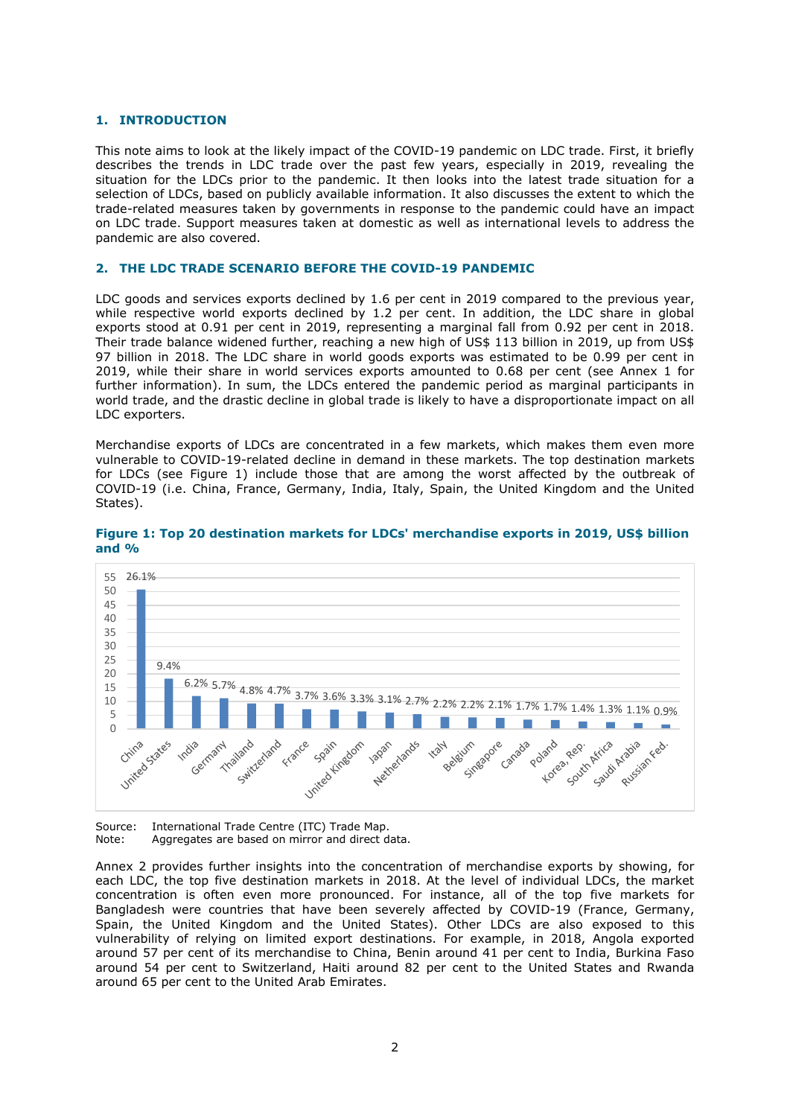## **1. INTRODUCTION**

This note aims to look at the likely impact of the COVID-19 pandemic on LDC trade. First, it briefly describes the trends in LDC trade over the past few years, especially in 2019, revealing the situation for the LDCs prior to the pandemic. It then looks into the latest trade situation for a selection of LDCs, based on publicly available information. It also discusses the extent to which the trade-related measures taken by governments in response to the pandemic could have an impact on LDC trade. Support measures taken at domestic as well as international levels to address the pandemic are also covered.

#### **2. THE LDC TRADE SCENARIO BEFORE THE COVID-19 PANDEMIC**

LDC goods and services exports declined by 1.6 per cent in 2019 compared to the previous year, while respective world exports declined by 1.2 per cent. In addition, the LDC share in global exports stood at 0.91 per cent in 2019, representing a marginal fall from 0.92 per cent in 2018. Their trade balance widened further, reaching a new high of US\$ 113 billion in 2019, up from US\$ 97 billion in 2018. The LDC share in world goods exports was estimated to be 0.99 per cent in 2019, while their share in world services exports amounted to 0.68 per cent (see Annex 1 for further information). In sum, the LDCs entered the pandemic period as marginal participants in world trade, and the drastic decline in global trade is likely to have a disproportionate impact on all LDC exporters.

Merchandise exports of LDCs are concentrated in a few markets, which makes them even more vulnerable to COVID-19-related decline in demand in these markets. The top destination markets for LDCs (see [Figure 1\)](#page-1-0) include those that are among the worst affected by the outbreak of COVID-19 (i.e. China, France, Germany, India, Italy, Spain, the United Kingdom and the United States).



#### <span id="page-1-0"></span>**Figure 1: Top 20 destination markets for LDCs' merchandise exports in 2019, US\$ billion and %**

Source: International Trade Centre (ITC) Trade Map.<br>Note: Aggregates are based on mirror and direct d Aggregates are based on mirror and direct data.

Annex 2 provides further insights into the concentration of merchandise exports by showing, for each LDC, the top five destination markets in 2018. At the level of individual LDCs, the market concentration is often even more pronounced. For instance, all of the top five markets for Bangladesh were countries that have been severely affected by COVID-19 (France, Germany, Spain, the United Kingdom and the United States). Other LDCs are also exposed to this vulnerability of relying on limited export destinations. For example, in 2018, Angola exported around 57 per cent of its merchandise to China, Benin around 41 per cent to India, Burkina Faso around 54 per cent to Switzerland, Haiti around 82 per cent to the United States and Rwanda around 65 per cent to the United Arab Emirates.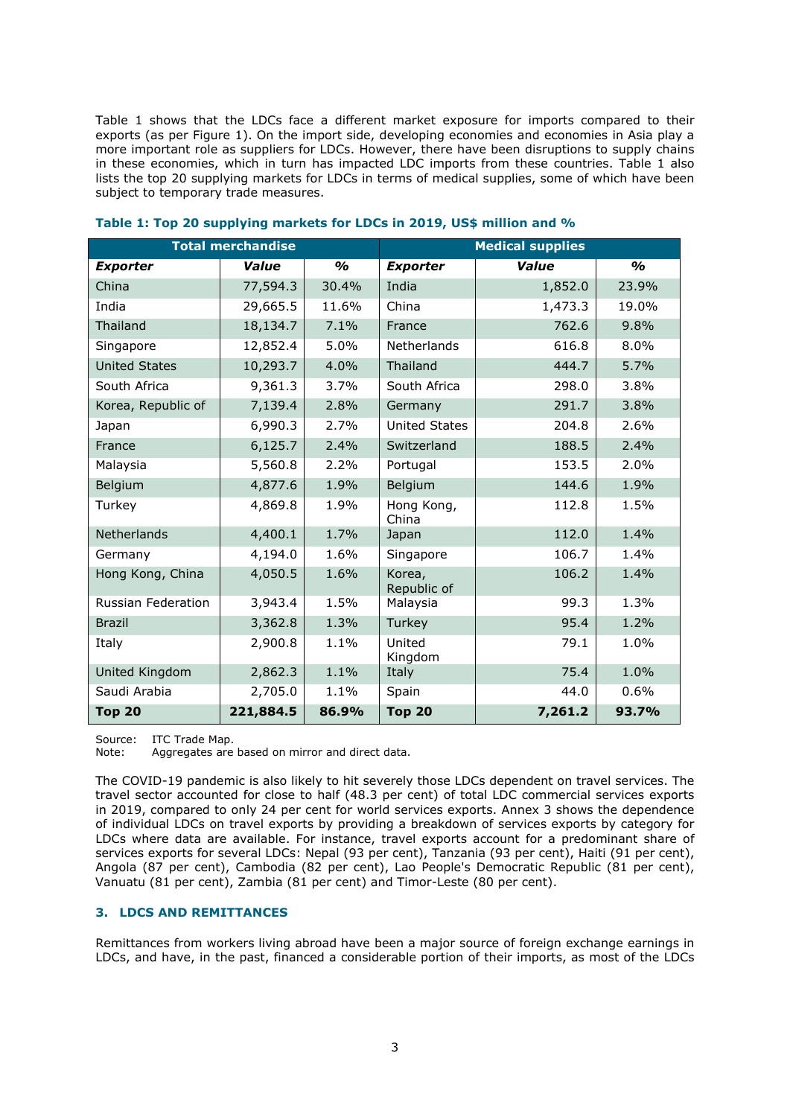Table 1 shows that the LDCs face a different market exposure for imports compared to their exports (as per Figure 1). On the import side, developing economies and economies in Asia play a more important role as suppliers for LDCs. However, there have been disruptions to supply chains in these economies, which in turn has impacted LDC imports from these countries. Table 1 also lists the top 20 supplying markets for LDCs in terms of medical supplies, some of which have been subject to temporary trade measures.

|                           | <b>Total merchandise</b> |               | <b>Medical supplies</b> |         |               |  |  |
|---------------------------|--------------------------|---------------|-------------------------|---------|---------------|--|--|
| <b>Exporter</b>           | Value                    | $\frac{1}{2}$ | <b>Exporter</b>         | Value   | $\frac{a}{c}$ |  |  |
| China                     | 77,594.3                 | 30.4%         | India                   | 1,852.0 | 23.9%         |  |  |
| India                     | 29,665.5                 | 11.6%         | China                   | 1,473.3 | 19.0%         |  |  |
| Thailand                  | 18,134.7                 | 7.1%          | France                  | 762.6   | 9.8%          |  |  |
| Singapore                 | 12,852.4                 | 5.0%          | Netherlands             | 616.8   | 8.0%          |  |  |
| <b>United States</b>      | 10,293.7                 | 4.0%          | Thailand                | 444.7   | 5.7%          |  |  |
| South Africa              | 9,361.3                  | 3.7%          | South Africa            | 298.0   | 3.8%          |  |  |
| Korea, Republic of        | 7,139.4                  | 2.8%          | Germany                 | 291.7   | 3.8%          |  |  |
| Japan                     | 6,990.3                  | 2.7%          | <b>United States</b>    | 204.8   | 2.6%          |  |  |
| France                    | 6,125.7                  | 2.4%          | Switzerland             | 188.5   | 2.4%          |  |  |
| Malaysia                  | 5,560.8                  | 2.2%          | Portugal                | 153.5   | 2.0%          |  |  |
| Belgium                   | 4,877.6                  | 1.9%          | Belgium                 | 144.6   | 1.9%          |  |  |
| Turkey                    | 4,869.8                  | 1.9%          | Hong Kong,<br>China     | 112.8   | 1.5%          |  |  |
| Netherlands               | 4,400.1                  | 1.7%          | Japan                   | 112.0   | 1.4%          |  |  |
| Germany                   | 4,194.0                  | 1.6%          | Singapore               | 106.7   | 1.4%          |  |  |
| Hong Kong, China          | 4,050.5                  | 1.6%          | Korea,<br>Republic of   | 106.2   | 1.4%          |  |  |
| <b>Russian Federation</b> | 3,943.4                  | 1.5%          | Malaysia                | 99.3    | 1.3%          |  |  |
| <b>Brazil</b>             | 3,362.8                  | 1.3%          | Turkey                  | 95.4    | 1.2%          |  |  |
| Italy                     | 2,900.8                  | 1.1%          | United<br>Kingdom       | 79.1    | 1.0%          |  |  |
| United Kingdom            | 2,862.3                  | 1.1%          | Italy                   | 75.4    | 1.0%          |  |  |
| Saudi Arabia              | 2,705.0                  | 1.1%          | Spain                   | 44.0    | 0.6%          |  |  |
| <b>Top 20</b>             | 221,884.5                | 86.9%         | <b>Top 20</b>           | 7,261.2 | 93.7%         |  |  |

# **Table 1: Top 20 supplying markets for LDCs in 2019, US\$ million and %**

Source: ITC Trade Map.<br>Note: Aggregates are

Aggregates are based on mirror and direct data.

The COVID-19 pandemic is also likely to hit severely those LDCs dependent on travel services. The travel sector accounted for close to half (48.3 per cent) of total LDC commercial services exports in 2019, compared to only 24 per cent for world services exports. Annex 3 shows the dependence of individual LDCs on travel exports by providing a breakdown of services exports by category for LDCs where data are available. For instance, travel exports account for a predominant share of services exports for several LDCs: Nepal (93 per cent), Tanzania (93 per cent), Haiti (91 per cent), Angola (87 per cent), Cambodia (82 per cent), Lao People's Democratic Republic (81 per cent), Vanuatu (81 per cent), Zambia (81 per cent) and Timor-Leste (80 per cent).

#### **3. LDCS AND REMITTANCES**

Remittances from workers living abroad have been a major source of foreign exchange earnings in LDCs, and have, in the past, financed a considerable portion of their imports, as most of the LDCs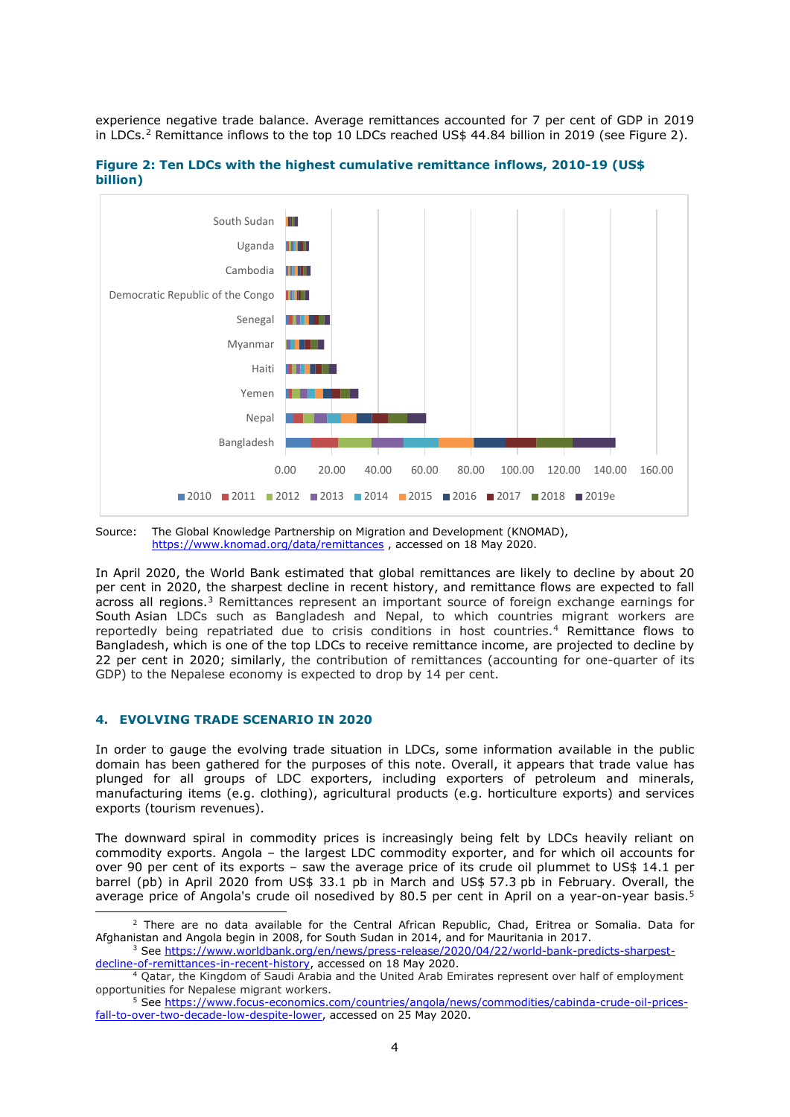experience negative trade balance. Average remittances accounted for 7 per cent of GDP in 2019 in LDCs.[2](#page-3-1) Remittance inflows to the top 10 LDCs reached US\$ 44.84 billion in 2019 (see [Figure 2](#page-3-0)).



<span id="page-3-0"></span>**Figure 2: Ten LDCs with the highest cumulative remittance inflows, 2010-19 (US\$ billion)**

In April 2020, the World Bank estimated that global remittances are likely to decline by about 20 per cent in 2020, the sharpest decline in recent history, and remittance flows are expected to fall across all regions.<sup>[3](#page-3-2)</sup> Remittances represent an important source of foreign exchange earnings for South Asian LDCs such as Bangladesh and Nepal, to which countries migrant workers are reportedly being repatriated due to crisis conditions in host countries.<sup>[4](#page-3-3)</sup> Remittance flows to Bangladesh, which is one of the top LDCs to receive remittance income, are projected to decline by 22 per cent in 2020; similarly, the contribution of remittances (accounting for one-quarter of its GDP) to the Nepalese economy is expected to drop by 14 per cent.

# **4. EVOLVING TRADE SCENARIO IN 2020**

In order to gauge the evolving trade situation in LDCs, some information available in the public domain has been gathered for the purposes of this note. Overall, it appears that trade value has plunged for all groups of LDC exporters, including exporters of petroleum and minerals, manufacturing items (e.g. clothing), agricultural products (e.g. horticulture exports) and services exports (tourism revenues).

The downward spiral in commodity prices is increasingly being felt by LDCs heavily reliant on commodity exports. Angola – the largest LDC commodity exporter, and for which oil accounts for over 90 per cent of its exports – saw the average price of its crude oil plummet to US\$ 14.1 per barrel (pb) in April 2020 from US\$ 33.1 pb in March and US\$ 57.3 pb in February. Overall, the average price of Angola's crude oil nosedived by 80[.5](#page-3-4) per cent in April on a year-on-year basis.<sup>5</sup>

<span id="page-3-2"></span><sup>3</sup> See [https://www.worldbank.org/en/news/press-release/2020/04/22/world-bank-predicts-sharpest](https://www.worldbank.org/en/news/press-release/2020/04/22/world-bank-predicts-sharpest-decline-of-remittances-in-recent-history)[decline-of-remittances-in-recent-history,](https://www.worldbank.org/en/news/press-release/2020/04/22/world-bank-predicts-sharpest-decline-of-remittances-in-recent-history) accessed on 18 May 2020.

Source: The Global Knowledge Partnership on Migration and Development (KNOMAD), <https://www.knomad.org/data/remittances> , accessed on 18 May 2020.

<span id="page-3-1"></span><sup>&</sup>lt;sup>2</sup> There are no data available for the Central African Republic, Chad, Eritrea or Somalia. Data for Afghanistan and Angola begin in 2008, for South Sudan in 2014, and for Mauritania in 2017.

<span id="page-3-3"></span><sup>4</sup> Qatar, the Kingdom of Saudi Arabia and the United Arab Emirates represent over half of employment opportunities for Nepalese migrant workers.

<span id="page-3-4"></span><sup>5</sup> See [https://www.focus-economics.com/countries/angola/news/commodities/cabinda-crude-oil-prices](https://www.focus-economics.com/countries/angola/news/commodities/cabinda-crude-oil-prices-fall-to-over-two-decade-low-despite-lower)[fall-to-over-two-decade-low-despite-lower,](https://www.focus-economics.com/countries/angola/news/commodities/cabinda-crude-oil-prices-fall-to-over-two-decade-low-despite-lower) accessed on 25 May 2020.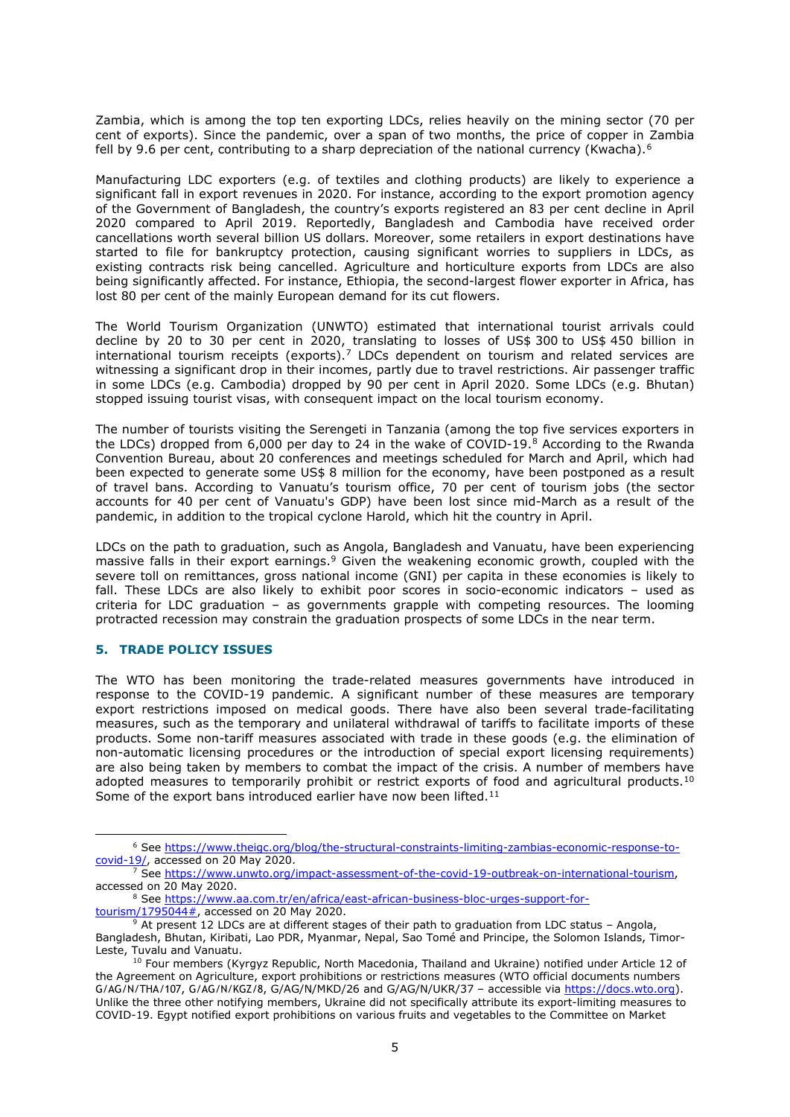Zambia, which is among the top ten exporting LDCs, relies heavily on the mining sector (70 per cent of exports). Since the pandemic, over a span of two months, the price of copper in Zambia fell by 9.[6](#page-4-0) per cent, contributing to a sharp depreciation of the national currency (Kwacha).<sup>6</sup>

Manufacturing LDC exporters (e.g. of textiles and clothing products) are likely to experience a significant fall in export revenues in 2020. For instance, according to the export promotion agency of the Government of Bangladesh, the country's exports registered an 83 per cent decline in April 2020 compared to April 2019. Reportedly, Bangladesh and Cambodia have received order cancellations worth several billion US dollars. Moreover, some retailers in export destinations have started to file for bankruptcy protection, causing significant worries to suppliers in LDCs, as existing contracts risk being cancelled. Agriculture and horticulture exports from LDCs are also being significantly affected. For instance, Ethiopia, the second-largest flower exporter in Africa, has lost 80 per cent of the mainly European demand for its cut flowers.

The World Tourism Organization (UNWTO) estimated that international tourist arrivals could decline by 20 to 30 per cent in 2020, translating to losses of US\$ 300 to US\$ 450 billion in international tourism receipts (exports).[7](#page-4-1) LDCs dependent on tourism and related services are witnessing a significant drop in their incomes, partly due to travel restrictions. Air passenger traffic in some LDCs (e.g. Cambodia) dropped by 90 per cent in April 2020. Some LDCs (e.g. Bhutan) stopped issuing tourist visas, with consequent impact on the local tourism economy.

The number of tourists visiting the Serengeti in Tanzania (among the top five services exporters in the LDCs) dropped from 6,000 per day to 24 in the wake of COVID-19.[8](#page-4-2) According to the Rwanda Convention Bureau, about 20 conferences and meetings scheduled for March and April, which had been expected to generate some US\$ 8 million for the economy, have been postponed as a result of travel bans. According to Vanuatu's tourism office, 70 per cent of tourism jobs (the sector accounts for 40 per cent of Vanuatu's GDP) have been lost since mid-March as a result of the pandemic, in addition to the tropical cyclone Harold, which hit the country in April.

LDCs on the path to graduation, such as Angola, Bangladesh and Vanuatu, have been experiencing massive falls in their export earnings.<sup>[9](#page-4-3)</sup> Given the weakening economic growth, coupled with the severe toll on remittances, gross national income (GNI) per capita in these economies is likely to fall. These LDCs are also likely to exhibit poor scores in socio-economic indicators – used as criteria for LDC graduation – as governments grapple with competing resources. The looming protracted recession may constrain the graduation prospects of some LDCs in the near term.

#### **5. TRADE POLICY ISSUES**

The WTO has been monitoring the trade-related measures governments have introduced in response to the COVID-19 pandemic. A significant number of these measures are temporary export restrictions imposed on medical goods. There have also been several trade-facilitating measures, such as the temporary and unilateral withdrawal of tariffs to facilitate imports of these products. Some non-tariff measures associated with trade in these goods (e.g. the elimination of non-automatic licensing procedures or the introduction of special export licensing requirements) are also being taken by members to combat the impact of the crisis. A number of members have adopted measures to temporarily prohibit or restrict exports of food and agricultural products.<sup>[10](#page-4-4)</sup> Some of the export bans introduced earlier have now been lifted.<sup>[11](#page-4-5)</sup>

<span id="page-4-0"></span><sup>6</sup> See [https://www.theigc.org/blog/the-structural-constraints-limiting-zambias-economic-response-to](https://www.theigc.org/blog/the-structural-constraints-limiting-zambias-economic-response-to-covid-19/)[covid-19/,](https://www.theigc.org/blog/the-structural-constraints-limiting-zambias-economic-response-to-covid-19/) accessed on 20 May 2020.

<span id="page-4-1"></span><sup>&</sup>lt;sup>7</sup> See [https://www.unwto.org/impact-assessment-of-the-covid-19-outbreak-on-international-tourism,](https://www.unwto.org/impact-assessment-of-the-covid-19-outbreak-on-international-tourism) accessed on 20 May 2020.

<span id="page-4-2"></span><sup>8</sup> See [https://www.aa.com.tr/en/africa/east-african-business-bloc-urges-support-for](https://www.aa.com.tr/en/africa/east-african-business-bloc-urges-support-for-tourism/1795044)[tourism/1795044#,](https://www.aa.com.tr/en/africa/east-african-business-bloc-urges-support-for-tourism/1795044) accessed on 20 May 2020.

<span id="page-4-5"></span><span id="page-4-3"></span> $^9$  At present 12 LDCs are at different stages of their path to graduation from LDC status - Angola, Bangladesh, Bhutan, Kiribati, Lao PDR, Myanmar, Nepal, Sao Tomé and Principe, the Solomon Islands, Timor-Leste, Tuvalu and Vanuatu.

<span id="page-4-4"></span><sup>&</sup>lt;sup>10</sup> Four members (Kyrgyz Republic, North Macedonia, Thailand and Ukraine) notified under Article 12 of the Agreement on Agriculture, export prohibitions or restrictions measures (WTO official documents numbers G/AG/N/THA/107, G/AG/N/KGZ/8, G/AG/N/MKD/26 and G/AG/N/UKR/37 – accessible via [https://docs.wto.org\)](https://docs.wto.org/). Unlike the three other notifying members, Ukraine did not specifically attribute its export-limiting measures to COVID-19. Egypt notified export prohibitions on various fruits and vegetables to the Committee on Market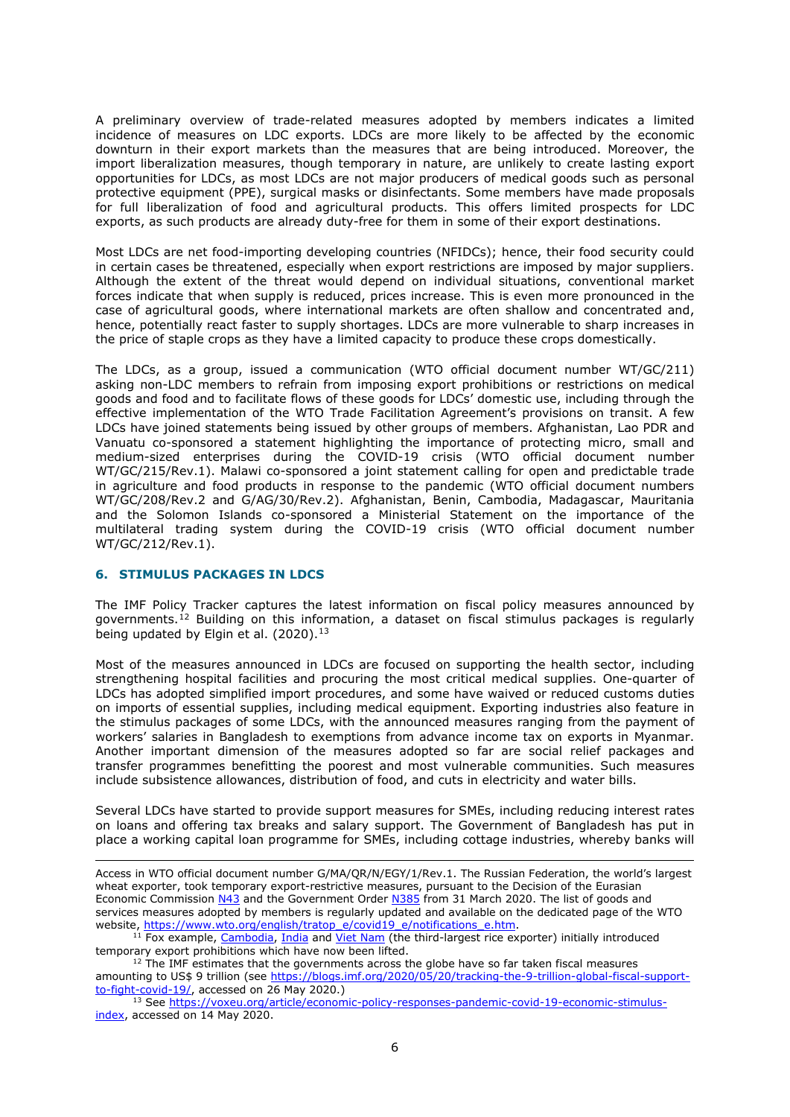A preliminary overview of trade-related measures adopted by members indicates a limited incidence of measures on LDC exports. LDCs are more likely to be affected by the economic downturn in their export markets than the measures that are being introduced. Moreover, the import liberalization measures, though temporary in nature, are unlikely to create lasting export opportunities for LDCs, as most LDCs are not major producers of medical goods such as personal protective equipment (PPE), surgical masks or disinfectants. Some members have made proposals for full liberalization of food and agricultural products. This offers limited prospects for LDC exports, as such products are already duty-free for them in some of their export destinations.

Most LDCs are net food-importing developing countries (NFIDCs); hence, their food security could in certain cases be threatened, especially when export restrictions are imposed by major suppliers. Although the extent of the threat would depend on individual situations, conventional market forces indicate that when supply is reduced, prices increase. This is even more pronounced in the case of agricultural goods, where international markets are often shallow and concentrated and, hence, potentially react faster to supply shortages. LDCs are more vulnerable to sharp increases in the price of staple crops as they have a limited capacity to produce these crops domestically.

The LDCs, as a group, issued a communication (WTO official document number WT/GC/211) asking non-LDC members to refrain from imposing export prohibitions or restrictions on medical goods and food and to facilitate flows of these goods for LDCs' domestic use, including through the effective implementation of the WTO Trade Facilitation Agreement's provisions on transit. A few LDCs have joined statements being issued by other groups of members. Afghanistan, Lao PDR and Vanuatu co-sponsored a statement highlighting the importance of protecting micro, small and medium-sized enterprises during the COVID-19 crisis (WTO official document number WT/GC/215/Rev.1). Malawi co-sponsored a joint statement calling for open and predictable trade in agriculture and food products in response to the pandemic (WTO official document numbers WT/GC/208/Rev.2 and G/AG/30/Rev.2). Afghanistan, Benin, Cambodia, Madagascar, Mauritania and the Solomon Islands co-sponsored a Ministerial Statement on the importance of the multilateral trading system during the COVID-19 crisis (WTO official document number WT/GC/212/Rev.1).

# **6. STIMULUS PACKAGES IN LDCS**

The IMF Policy Tracker captures the latest information on fiscal policy measures announced by governments.<sup>[12](#page-5-0)</sup> Building on this information, a dataset on fiscal stimulus packages is regularly being updated by Elgin et al. (2020).<sup>[13](#page-5-1)</sup>

Most of the measures announced in LDCs are focused on supporting the health sector, including strengthening hospital facilities and procuring the most critical medical supplies. One-quarter of LDCs has adopted simplified import procedures, and some have waived or reduced customs duties on imports of essential supplies, including medical equipment. Exporting industries also feature in the stimulus packages of some LDCs, with the announced measures ranging from the payment of workers' salaries in Bangladesh to exemptions from advance income tax on exports in Myanmar. Another important dimension of the measures adopted so far are social relief packages and transfer programmes benefitting the poorest and most vulnerable communities. Such measures include subsistence allowances, distribution of food, and cuts in electricity and water bills.

Several LDCs have started to provide support measures for SMEs, including reducing interest rates on loans and offering tax breaks and salary support. The Government of Bangladesh has put in place a working capital loan programme for SMEs, including cottage industries, whereby banks will

Access in WTO official document number G/MA/QR/N/EGY/1/Rev.1. The Russian Federation, the world's largest wheat exporter, took temporary export-restrictive measures, pursuant to the Decision of the Eurasian Economic Commission [N43](https://docs.eaeunion.org/docs/ru-ru/01425280/err_02042020_43) and the Government Order [N385](http://static.government.ru/media/files/0kk3yjAkAmmPZxBeCo3G98KNnc2uDDNA.pdf) from 31 March 2020. The list of goods and services measures adopted by members is regularly updated and available on the dedicated page of the WTO

website, [https://www.wto.org/english/tratop\\_e/covid19\\_e/notifications\\_e.htm.](https://www.wto.org/english/tratop_e/covid19_e/notifications_e.htm)<br>
<sup>11</sup> Fox example, [Cambodia,](https://www.nst.com.my/world/region/2020/05/592981/cambodia-lifts-ban-rice-exports) [India](https://www.thedailystar.net/business/news/india-finally-lifts-onion-export-ban-1875583) and <u>Viet Nam</u> (the third-largest rice exporter) initially introduced<br>
temporary export prohibitions which hav

<span id="page-5-0"></span> $12$  The IMF estimates that the governments across the globe have so far taken fiscal measures amounting to US\$ 9 trillion (see [https://blogs.imf.org/2020/05/20/tracking-the-9-trillion-global-fiscal-support](https://blogs.imf.org/2020/05/20/tracking-the-9-trillion-global-fiscal-support-to-fight-covid-19/)[to-fight-covid-19/,](https://blogs.imf.org/2020/05/20/tracking-the-9-trillion-global-fiscal-support-to-fight-covid-19/) accessed on 26 May 2020.)

<span id="page-5-1"></span><sup>13</sup> See [https://voxeu.org/article/economic-policy-responses-pandemic-covid-19-economic-stimulus](https://voxeu.org/article/economic-policy-responses-pandemic-covid-19-economic-stimulus-index)[index,](https://voxeu.org/article/economic-policy-responses-pandemic-covid-19-economic-stimulus-index) accessed on 14 May 2020.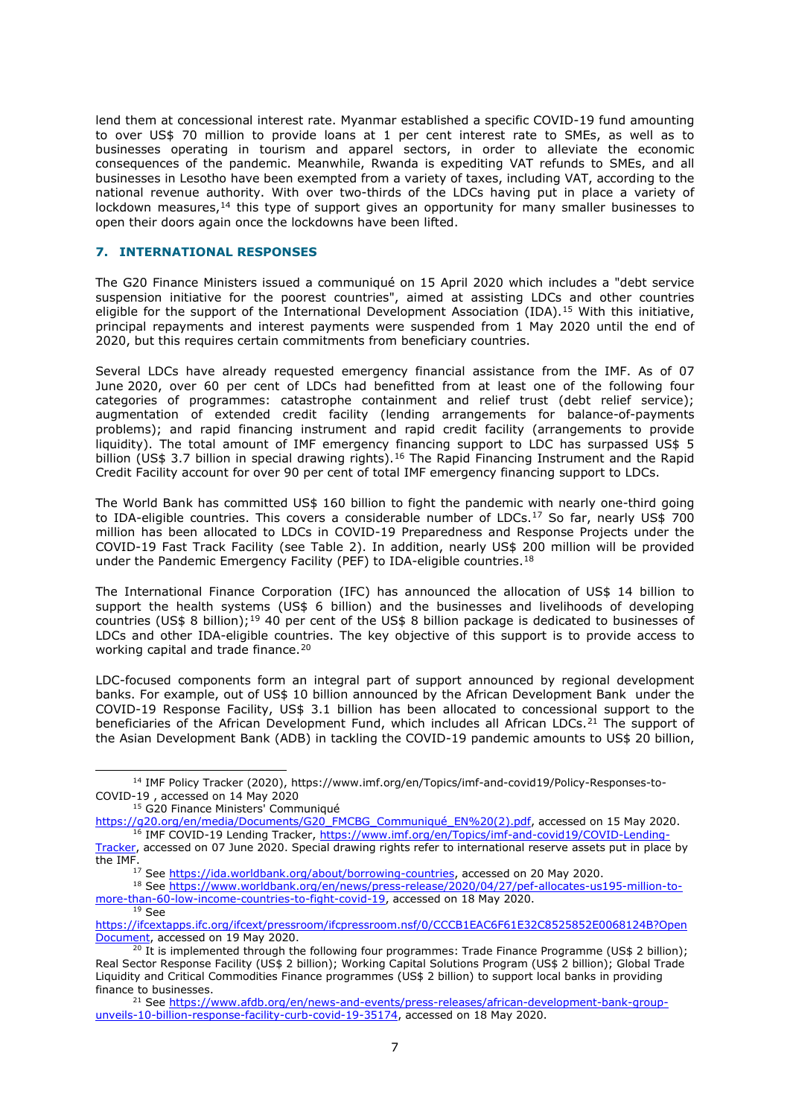lend them at concessional interest rate. Myanmar established a specific COVID-19 fund amounting to over US\$ 70 million to provide loans at 1 per cent interest rate to SMEs, as well as to businesses operating in tourism and apparel sectors, in order to alleviate the economic consequences of the pandemic. Meanwhile, Rwanda is expediting VAT refunds to SMEs, and all businesses in Lesotho have been exempted from a variety of taxes, including VAT, according to the national revenue authority. With over two-thirds of the LDCs having put in place a variety of lockdown measures,<sup>[14](#page-6-0)</sup> this type of support gives an opportunity for many smaller businesses to open their doors again once the lockdowns have been lifted.

## **7. INTERNATIONAL RESPONSES**

The G20 Finance Ministers issued a communiqué on 15 April 2020 which includes a "debt service suspension initiative for the poorest countries", aimed at assisting LDCs and other countries eligible for the support of the International Development Association (IDA).[15](#page-6-1) With this initiative, principal repayments and interest payments were suspended from 1 May 2020 until the end of 2020, but this requires certain commitments from beneficiary countries.

Several LDCs have already requested emergency financial assistance from the IMF. As of 07 June 2020, over 60 per cent of LDCs had benefitted from at least one of the following four categories of programmes: catastrophe containment and relief trust (debt relief service); augmentation of extended credit facility (lending arrangements for balance-of-payments problems); and rapid financing instrument and rapid credit facility (arrangements to provide liquidity). The total amount of IMF emergency financing support to LDC has surpassed US\$ 5 billion (US\$ 3.7 billion in special drawing rights).<sup>[16](#page-6-2)</sup> The Rapid Financing Instrument and the Rapid Credit Facility account for over 90 per cent of total IMF emergency financing support to LDCs.

The World Bank has committed US\$ 160 billion to fight the pandemic with nearly one-third going to IDA-eligible countries. This covers a considerable number of LDCs.<sup>[17](#page-6-3)</sup> So far, nearly US\$ 700 million has been allocated to LDCs in COVID-19 Preparedness and Response Projects under the COVID-19 Fast Track Facility (see [Table 2\)](#page-7-0). In addition, nearly US\$ 200 million will be provided under the Pandemic Emergency Facility (PEF) to IDA-eligible countries.[18](#page-6-4)

The International Finance Corporation (IFC) has announced the allocation of US\$ 14 billion to support the health systems (US\$ 6 billion) and the businesses and livelihoods of developing countries (US\$ 8 billion)[;19](#page-6-5) 40 per cent of the US\$ 8 billion package is dedicated to businesses of LDCs and other IDA-eligible countries. The key objective of this support is to provide access to working capital and trade finance.<sup>[20](#page-6-6)</sup>

LDC-focused components form an integral part of support announced by regional development banks. For example, out of US\$ 10 billion announced by the African Development Bank under the COVID-19 Response Facility, US\$ 3.1 billion has been allocated to concessional support to the beneficiaries of the African Development Fund, which includes all African LDCs.<sup>[21](#page-6-7)</sup> The support of the Asian Development Bank (ADB) in tackling the COVID-19 pandemic amounts to US\$ 20 billion,

<span id="page-6-0"></span><sup>14</sup> IMF Policy Tracker (2020), https://www.imf.org/en/Topics/imf-and-covid19/Policy-Responses-to-COVID-19 , accessed on 14 May 2020

<span id="page-6-1"></span><sup>&</sup>lt;sup>15</sup> G20 Finance Ministers' Communiqué<br>https://g20.org/en/media/Documents/G20 FMCBG Communiqué EN%20(2).pdf, accessed on 15 May 2020. 16 IMF COVID-19 Lending Tracker, [https://www.imf.org/en/Topics/imf-and-covid19/COVID-Lending-](https://www.imf.org/en/Topics/imf-and-covid19/COVID-Lending-Tracker)

<span id="page-6-2"></span>[Tracker,](https://www.imf.org/en/Topics/imf-and-covid19/COVID-Lending-Tracker) accessed on 07 June 2020. Special drawing rights refer to international reserve assets put in place by the IMF.<br><sup>17</sup> See https://ida.worldbank.org/about/borrowing-countries, accessed on 20 May 2020.

<span id="page-6-4"></span><span id="page-6-3"></span><sup>&</sup>lt;sup>18</sup> See [https://www.worldbank.org/en/news/press-release/2020/04/27/pef-allocates-us195-million-to](https://www.worldbank.org/en/news/press-release/2020/04/27/pef-allocates-us195-million-to-more-than-60-low-income-countries-to-fight-covid-19)[more-than-60-low-income-countries-to-fight-covid-19,](https://www.worldbank.org/en/news/press-release/2020/04/27/pef-allocates-us195-million-to-more-than-60-low-income-countries-to-fight-covid-19) accessed on 18 May 2020.<br><sup>19</sup> See

<span id="page-6-5"></span>[https://ifcextapps.ifc.org/ifcext/pressroom/ifcpressroom.nsf/0/CCCB1EAC6F61E32C8525852E0068124B?Open](https://ifcextapps.ifc.org/ifcext/pressroom/ifcpressroom.nsf/0/CCCB1EAC6F61E32C8525852E0068124B?OpenDocument) [Document,](https://ifcextapps.ifc.org/ifcext/pressroom/ifcpressroom.nsf/0/CCCB1EAC6F61E32C8525852E0068124B?OpenDocument) accessed on 19 May 2020.

<span id="page-6-6"></span> $\frac{20 \text{ It}}{20 \text{ It}}$  is implemented through the following four programmes: Trade Finance Programme (US\$ 2 billion); Real Sector Response Facility (US\$ 2 billion); Working Capital Solutions Program (US\$ 2 billion); Global Trade Liquidity and Critical Commodities Finance programmes (US\$ 2 billion) to support local banks in providing finance to businesses.

<span id="page-6-7"></span><sup>&</sup>lt;sup>21</sup> See [https://www.afdb.org/en/news-and-events/press-releases/african-development-bank-group](https://www.afdb.org/en/news-and-events/press-releases/african-development-bank-group-unveils-10-billion-response-facility-curb-covid-19-35174)[unveils-10-billion-response-facility-curb-covid-19-35174,](https://www.afdb.org/en/news-and-events/press-releases/african-development-bank-group-unveils-10-billion-response-facility-curb-covid-19-35174) accessed on 18 May 2020.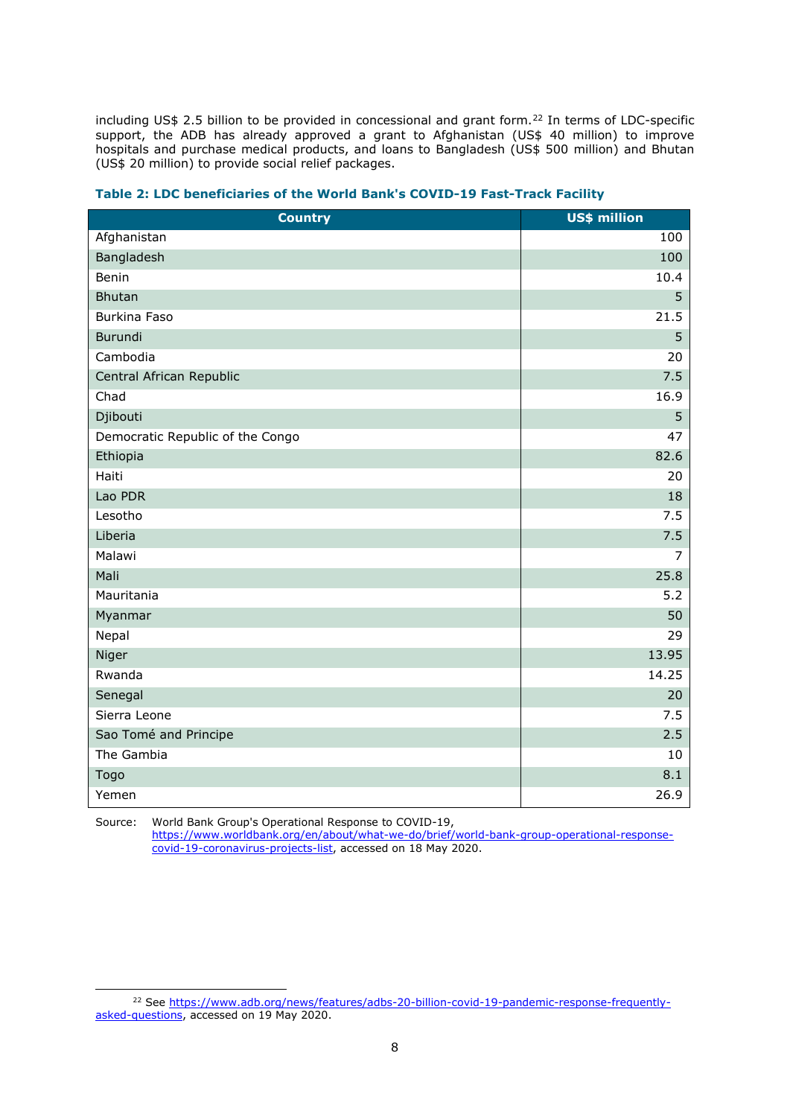including US\$ 2.5 billion to be provided in concessional and grant form.<sup>[22](#page-7-1)</sup> In terms of LDC-specific support, the ADB has already approved a grant to Afghanistan (US\$ 40 million) to improve hospitals and purchase medical products, and loans to Bangladesh (US\$ 500 million) and Bhutan (US\$ 20 million) to provide social relief packages.

| <b>Country</b>                   | US\$ million |
|----------------------------------|--------------|
| Afghanistan                      | 100          |
| Bangladesh                       | 100          |
| Benin                            | 10.4         |
| <b>Bhutan</b>                    | 5            |
| <b>Burkina Faso</b>              | 21.5         |
| <b>Burundi</b>                   | 5            |
| Cambodia                         | 20           |
| Central African Republic         | 7.5          |
| Chad                             | 16.9         |
| Djibouti                         | 5            |
| Democratic Republic of the Congo | 47           |
| Ethiopia                         | 82.6         |
| Haiti                            | 20           |
| Lao PDR                          | 18           |
| Lesotho                          | 7.5          |
| Liberia                          | 7.5          |
| Malawi                           | 7            |
| Mali                             | 25.8         |
| Mauritania                       | 5.2          |
| Myanmar                          | 50           |
| Nepal                            | 29           |
| Niger                            | 13.95        |
| Rwanda                           | 14.25        |
| Senegal                          | 20           |
| Sierra Leone                     | 7.5          |
| Sao Tomé and Principe            | 2.5          |
| The Gambia                       | 10           |
| Togo                             | 8.1          |
| Yemen                            | 26.9         |

<span id="page-7-0"></span>

|  | Table 2: LDC beneficiaries of the World Bank's COVID-19 Fast-Track Facility |  |  |  |  |
|--|-----------------------------------------------------------------------------|--|--|--|--|

Source: World Bank Group's Operational Response to COVID-19, [https://www.worldbank.org/en/about/what-we-do/brief/world-bank-group-operational-response](https://www.worldbank.org/en/about/what-we-do/brief/world-bank-group-operational-response-covid-19-coronavirus-projects-list)[covid-19-coronavirus-projects-list,](https://www.worldbank.org/en/about/what-we-do/brief/world-bank-group-operational-response-covid-19-coronavirus-projects-list) accessed on 18 May 2020.

<span id="page-7-1"></span><sup>&</sup>lt;sup>22</sup> See [https://www.adb.org/news/features/adbs-20-billion-covid-19-pandemic-response-frequently](https://www.adb.org/news/features/adbs-20-billion-covid-19-pandemic-response-frequently-asked-questions)[asked-questions,](https://www.adb.org/news/features/adbs-20-billion-covid-19-pandemic-response-frequently-asked-questions) accessed on 19 May 2020.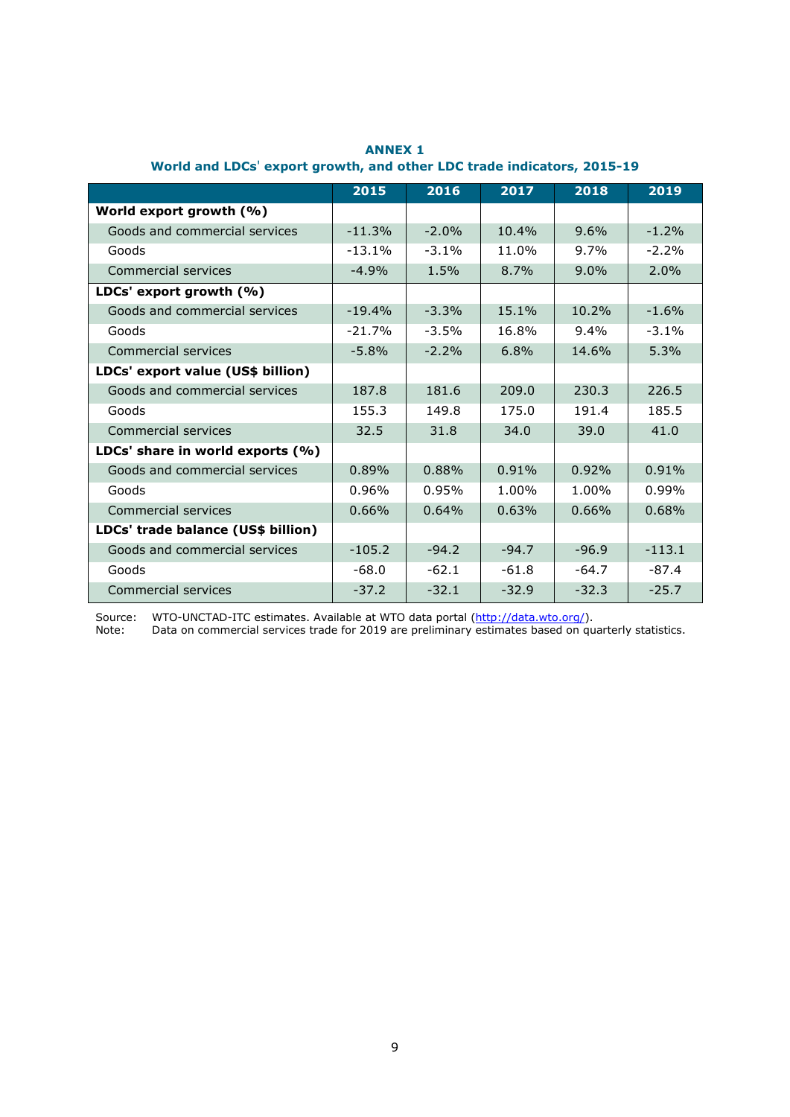|                                    | 2015     | 2016     | 2017    | 2018    | 2019     |
|------------------------------------|----------|----------|---------|---------|----------|
| World export growth (%)            |          |          |         |         |          |
|                                    |          |          |         |         |          |
| Goods and commercial services      | $-11.3%$ | $-2.0%$  | 10.4%   | 9.6%    | $-1.2%$  |
| Goods                              | $-13.1%$ | $-3.1\%$ | 11.0%   | $9.7\%$ | $-2.2%$  |
| Commercial services                | $-4.9%$  | 1.5%     | 8.7%    | $9.0\%$ | 2.0%     |
| LDCs' export growth (%)            |          |          |         |         |          |
| Goods and commercial services      | $-19.4%$ | $-3.3%$  | 15.1%   | 10.2%   | $-1.6%$  |
| Goods                              | $-21.7%$ | $-3.5\%$ | 16.8%   | $9.4\%$ | $-3.1%$  |
| Commercial services                | $-5.8%$  | $-2.2%$  | 6.8%    | 14.6%   | 5.3%     |
| LDCs' export value (US\$ billion)  |          |          |         |         |          |
| Goods and commercial services      | 187.8    | 181.6    | 209.0   | 230.3   | 226.5    |
| Goods                              | 155.3    | 149.8    | 175.0   | 191.4   | 185.5    |
| Commercial services                | 32.5     | 31.8     | 34.0    | 39.0    | 41.0     |
| LDCs' share in world exports (%)   |          |          |         |         |          |
| Goods and commercial services      | 0.89%    | 0.88%    | 0.91%   | 0.92%   | 0.91%    |
| Goods                              | $0.96\%$ | 0.95%    | 1.00%   | 1.00%   | $0.99\%$ |
| Commercial services                | 0.66%    | 0.64%    | 0.63%   | 0.66%   | 0.68%    |
| LDCs' trade balance (US\$ billion) |          |          |         |         |          |
| Goods and commercial services      | $-105.2$ | $-94.2$  | $-94.7$ | $-96.9$ | $-113.1$ |
| Goods                              | $-68.0$  | $-62.1$  | $-61.8$ | $-64.7$ | $-87.4$  |
| Commercial services                | $-37.2$  | $-32.1$  | $-32.9$ | $-32.3$ | $-25.7$  |

**ANNEX 1 World and LDCs**' **export growth, and other LDC trade indicators, 2015-19**

Source: WTO-UNCTAD-ITC estimates. Available at WTO data portal [\(http://data.wto.org/\)](http://data.wto.org/).

Note: Data on commercial services trade for 2019 are preliminary estimates based on quarterly statistics.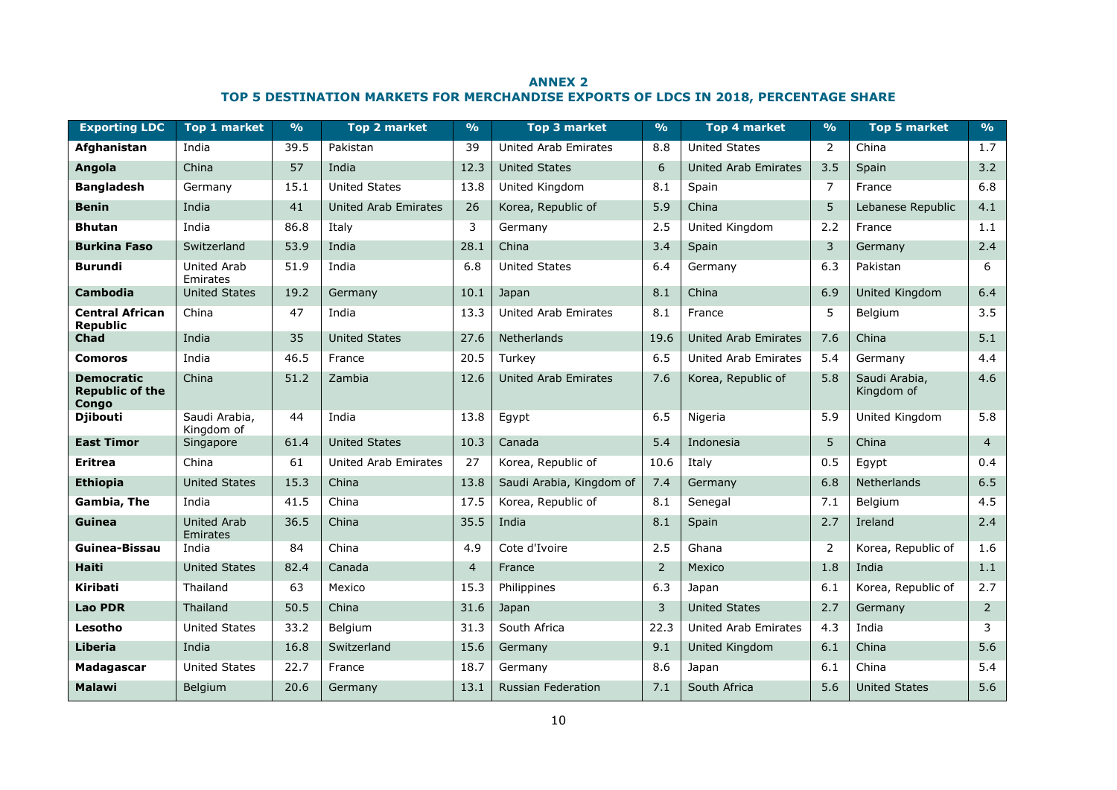**ANNEX 2 TOP 5 DESTINATION MARKETS FOR MERCHANDISE EXPORTS OF LDCS IN 2018, PERCENTAGE SHARE**

| <b>Exporting LDC</b>                                 | <b>Top 1 market</b>            | $\frac{0}{0}$ | <b>Top 2 market</b>         | $\frac{O}{O}$  | <b>Top 3 market</b>         | $\frac{0}{0}$ | <b>Top 4 market</b>         | $\frac{9}{6}$  | <b>Top 5 market</b>         | $\frac{9}{6}$  |
|------------------------------------------------------|--------------------------------|---------------|-----------------------------|----------------|-----------------------------|---------------|-----------------------------|----------------|-----------------------------|----------------|
| Afghanistan                                          | India                          | 39.5          | Pakistan                    | 39             | <b>United Arab Emirates</b> | 8.8           | <b>United States</b>        | $\overline{2}$ | China                       | 1.7            |
| Angola                                               | China                          | 57            | India                       | 12.3           | <b>United States</b>        | 6             | United Arab Emirates        | 3.5            | Spain                       | 3.2            |
| <b>Bangladesh</b>                                    | Germany                        | 15.1          | <b>United States</b>        | 13.8           | United Kingdom              | 8.1           | Spain                       | $\overline{7}$ | France                      | 6.8            |
| <b>Benin</b>                                         | India                          | 41            | <b>United Arab Emirates</b> | 26             | Korea, Republic of          | 5.9           | China                       | 5              | Lebanese Republic           | 4.1            |
| <b>Bhutan</b>                                        | India                          | 86.8          | Italy                       | 3              | Germany                     | 2.5           | United Kingdom              | 2.2            | France                      | 1.1            |
| <b>Burkina Faso</b>                                  | Switzerland                    | 53.9          | India                       | 28.1           | China                       | 3.4           | Spain                       | 3              | Germany                     | 2.4            |
| <b>Burundi</b>                                       | <b>United Arab</b><br>Emirates | 51.9          | India                       | 6.8            | <b>United States</b>        | 6.4           | Germany                     | 6.3            | Pakistan                    | 6              |
| Cambodia                                             | <b>United States</b>           | 19.2          | Germany                     | 10.1           | Japan                       | 8.1           | China                       | 6.9            | United Kingdom              | 6.4            |
| <b>Central African</b><br><b>Republic</b>            | China                          | 47            | India                       | 13.3           | United Arab Emirates        | 8.1           | France                      | 5              | Belgium                     | 3.5            |
| <b>Chad</b>                                          | India                          | 35            | <b>United States</b>        | 27.6           | <b>Netherlands</b>          | 19.6          | <b>United Arab Emirates</b> | 7.6            | China                       | 5.1            |
| <b>Comoros</b>                                       | India                          | 46.5          | France                      | 20.5           | Turkev                      | 6.5           | <b>United Arab Emirates</b> | 5.4            | Germany                     | 4.4            |
| <b>Democratic</b><br><b>Republic of the</b><br>Congo | China                          | 51.2          | Zambia                      | 12.6           | United Arab Emirates        | 7.6           | Korea, Republic of          | 5.8            | Saudi Arabia,<br>Kingdom of | 4.6            |
| <b>Diibouti</b>                                      | Saudi Arabia,<br>Kingdom of    | 44            | India                       | 13.8           | Egypt                       | 6.5           | Nigeria                     | 5.9            | United Kingdom              | 5.8            |
| <b>East Timor</b>                                    | Singapore                      | 61.4          | <b>United States</b>        | 10.3           | Canada                      | 5.4           | Indonesia                   | 5              | China                       | $\overline{4}$ |
| <b>Eritrea</b>                                       | China                          | 61            | United Arab Emirates        | 27             | Korea, Republic of          | 10.6          | Italy                       | 0.5            | Egypt                       | 0.4            |
| <b>Ethiopia</b>                                      | <b>United States</b>           | 15.3          | China                       | 13.8           | Saudi Arabia, Kingdom of    | 7.4           | Germany                     | 6.8            | Netherlands                 | 6.5            |
| <b>Gambia, The</b>                                   | India                          | 41.5          | China                       | 17.5           | Korea, Republic of          | 8.1           | Senegal                     | 7.1            | Belgium                     | 4.5            |
| Guinea                                               | <b>United Arab</b><br>Emirates | 36.5          | China                       | 35.5           | India                       | 8.1           | Spain                       | 2.7            | Ireland                     | 2.4            |
| Guinea-Bissau                                        | India                          | 84            | China                       | 4.9            | Cote d'Ivoire               | 2.5           | Ghana                       | 2              | Korea, Republic of          | 1.6            |
| Haiti                                                | <b>United States</b>           | 82.4          | Canada                      | $\overline{4}$ | France                      | 2             | Mexico                      | 1.8            | India                       | 1.1            |
| Kiribati                                             | Thailand                       | 63            | Mexico                      | 15.3           | Philippines                 | 6.3           | Japan                       | 6.1            | Korea, Republic of          | 2.7            |
| <b>Lao PDR</b>                                       | Thailand                       | 50.5          | China                       | 31.6           | Japan                       | 3             | <b>United States</b>        | 2.7            | Germany                     | $\overline{2}$ |
| Lesotho                                              | <b>United States</b>           | 33.2          | Belgium                     | 31.3           | South Africa                | 22.3          | <b>United Arab Emirates</b> | 4.3            | India                       | 3              |
| Liberia                                              | India                          | 16.8          | Switzerland                 | 15.6           | Germany                     | 9.1           | United Kingdom              | 6.1            | China                       | 5.6            |
| Madagascar                                           | <b>United States</b>           | 22.7          | France                      | 18.7           | Germany                     | 8.6           | Japan                       | 6.1            | China                       | 5.4            |
| <b>Malawi</b>                                        | Belgium                        | 20.6          | Germany                     | 13.1           | <b>Russian Federation</b>   | 7.1           | South Africa                | 5.6            | <b>United States</b>        | 5.6            |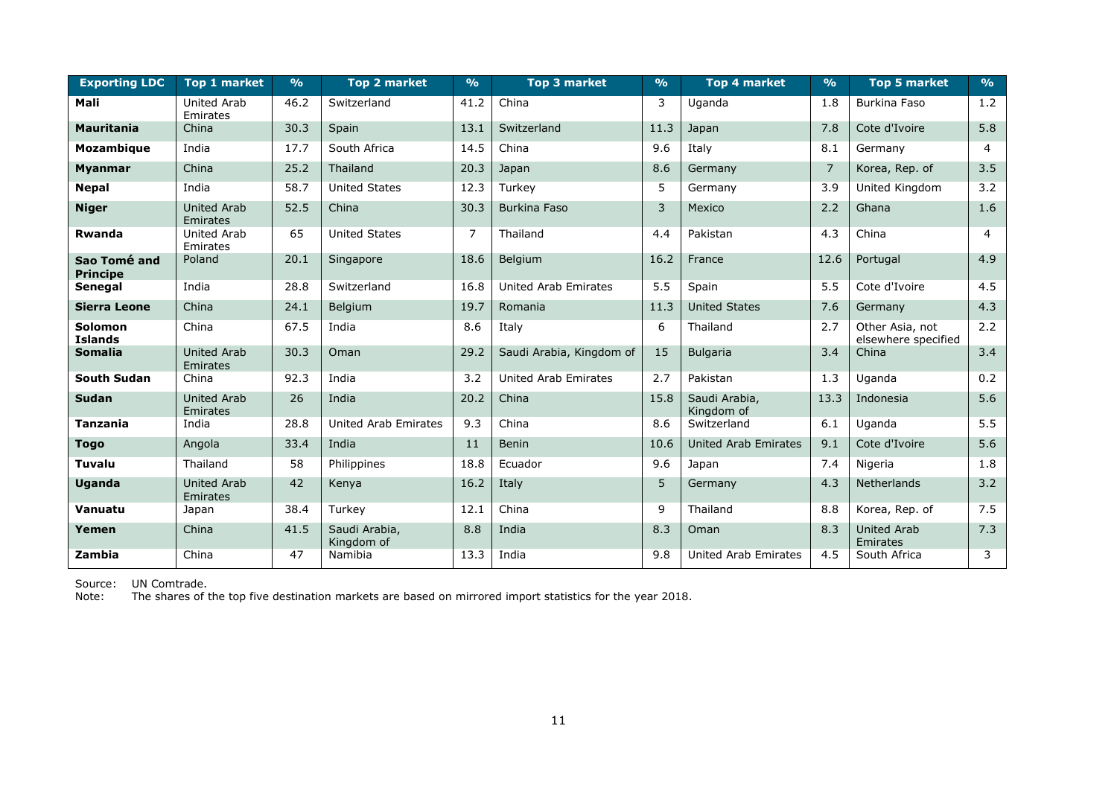| <b>Exporting LDC</b>             | <b>Top 1 market</b>            | $\frac{9}{6}$ | <b>Top 2 market</b>         | $\frac{6}{6}$ | <b>Top 3 market</b>      | $\frac{0}{0}$ | <b>Top 4 market</b>         | $\frac{9}{6}$ | <b>Top 5 market</b>                    | $\frac{9}{6}$  |
|----------------------------------|--------------------------------|---------------|-----------------------------|---------------|--------------------------|---------------|-----------------------------|---------------|----------------------------------------|----------------|
| Mali                             | United Arab<br>Emirates        | 46.2          | Switzerland                 | 41.2          | China                    | 3             | Uganda                      | 1.8           | Burkina Faso                           | 1.2            |
| <b>Mauritania</b>                | China                          | 30.3          | Spain                       | 13.1          | Switzerland              | 11.3          | Japan                       | 7.8           | Cote d'Ivoire                          | 5.8            |
| <b>Mozambique</b>                | India                          | 17.7          | South Africa                | 14.5          | China                    | 9.6           | Italy                       | 8.1           | Germany                                | 4              |
| <b>Myanmar</b>                   | China                          | 25.2          | Thailand                    | 20.3          | Japan                    | 8.6           | Germany                     | 7             | Korea, Rep. of                         | 3.5            |
| <b>Nepal</b>                     | India                          | 58.7          | <b>United States</b>        | 12.3          | Turkey                   | 5             | Germany                     | 3.9           | United Kingdom                         | 3.2            |
| <b>Niger</b>                     | <b>United Arab</b><br>Emirates | 52.5          | China                       | 30.3          | <b>Burkina Faso</b>      | 3             | Mexico                      | 2.2           | Ghana                                  | 1.6            |
| <b>Rwanda</b>                    | United Arab<br>Emirates        | 65            | <b>United States</b>        | 7             | Thailand                 | 4.4           | Pakistan                    | 4.3           | China                                  | $\overline{4}$ |
| Sao Tomé and<br><b>Principe</b>  | Poland                         | 20.1          | Singapore                   | 18.6          | Belgium                  | 16.2          | France                      | 12.6          | Portugal                               | 4.9            |
| Senegal                          | India                          | 28.8          | Switzerland                 | 16.8          | United Arab Emirates     | 5.5           | Spain                       | 5.5           | Cote d'Ivoire                          | 4.5            |
| <b>Sierra Leone</b>              | China                          | 24.1          | Belgium                     | 19.7          | Romania                  | 11.3          | <b>United States</b>        | 7.6           | Germany                                | 4.3            |
| <b>Solomon</b><br><b>Islands</b> | China                          | 67.5          | India                       | 8.6           | Italy                    | 6             | Thailand                    | 2.7           | Other Asia, not<br>elsewhere specified | 2.2            |
| <b>Somalia</b>                   | <b>United Arab</b><br>Emirates | 30.3          | Oman                        | 29.2          | Saudi Arabia, Kingdom of | 15            | <b>Bulgaria</b>             | 3.4           | China                                  | 3.4            |
| <b>South Sudan</b>               | China                          | 92.3          | India                       | 3.2           | United Arab Emirates     | 2.7           | Pakistan                    | 1.3           | Uganda                                 | 0.2            |
| <b>Sudan</b>                     | <b>United Arab</b><br>Emirates | 26            | India                       | 20.2          | China                    | 15.8          | Saudi Arabia,<br>Kingdom of | 13.3          | Indonesia                              | 5.6            |
| <b>Tanzania</b>                  | India                          | 28.8          | <b>United Arab Emirates</b> | 9.3           | China                    | 8.6           | Switzerland                 | 6.1           | Uganda                                 | 5.5            |
| <b>Togo</b>                      | Angola                         | 33.4          | India                       | 11            | Benin                    | 10.6          | <b>United Arab Emirates</b> | 9.1           | Cote d'Ivoire                          | 5.6            |
| Tuvalu                           | Thailand                       | 58            | Philippines                 | 18.8          | Ecuador                  | 9.6           | Japan                       | 7.4           | Nigeria                                | 1.8            |
| Uganda                           | <b>United Arab</b><br>Emirates | 42            | Kenya                       | 16.2          | Italy                    | 5             | Germany                     | 4.3           | <b>Netherlands</b>                     | 3.2            |
| Vanuatu                          | Japan                          | 38.4          | Turkey                      | 12.1          | China                    | 9             | Thailand                    | 8.8           | Korea, Rep. of                         | 7.5            |
| Yemen                            | China                          | 41.5          | Saudi Arabia,<br>Kingdom of | 8.8           | India                    | 8.3           | Oman                        | 8.3           | <b>United Arab</b><br>Emirates         | 7.3            |
| Zambia                           | China                          | 47            | Namibia                     | 13.3          | India                    | 9.8           | <b>United Arab Emirates</b> | 4.5           | South Africa                           | 3              |

Source: UN Comtrade.<br>Note: The shares of t

The shares of the top five destination markets are based on mirrored import statistics for the year 2018.